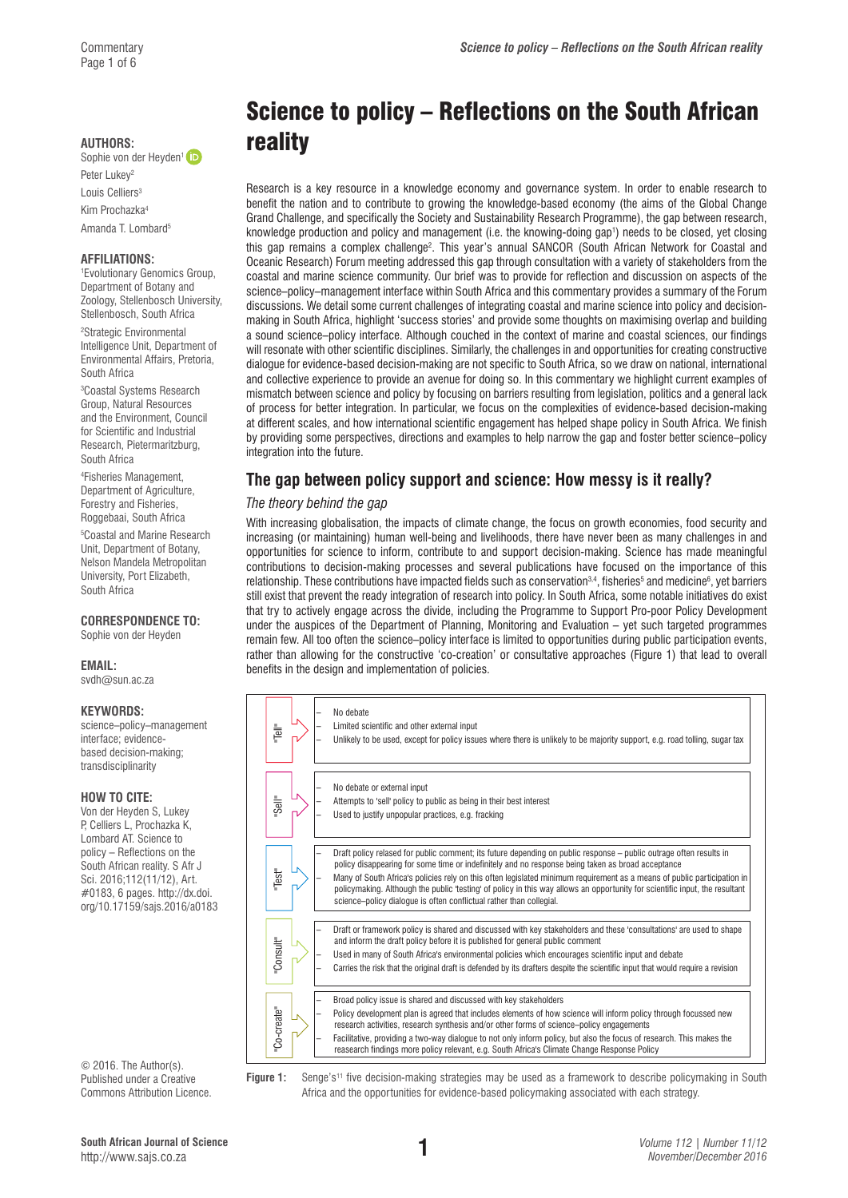**AUTHORS: reality** Sophie von der Heyden<sup>1</sup> **D** Peter Lukey<sup>2</sup> Louis Celliers<sup>3</sup> Kim Prochazka4 Amanda T. Lombard<sup>5</sup>

#### **AFFILIATIONS:**

1 Evolutionary Genomics Group, Department of Botany and Zoology, Stellenbosch University, Stellenbosch, South Africa 2 Strategic Environmental

Intelligence Unit, Department of Environmental Affairs, Pretoria, South Africa

3 Coastal Systems Research Group, Natural Resources and the Environment, Council for Scientific and Industrial Research, Pietermaritzburg, South Africa

4 Fisheries Management, Department of Agriculture, Forestry and Fisheries, Roggebaai, South Africa

5 Coastal and Marine Research Unit, Department of Botany, Nelson Mandela Metropolitan University, Port Elizabeth, South Africa

**CORRESPONDENCE TO:**  Sophie von der Heyden

#### **EMAIL:**

[svdh@sun.ac.za](mailto:svdh@sun.ac.za)

#### **KEYWORDS:**

science–policy–management interface; evidencebased decision-making; transdisciplinarity

#### **HOW TO CITE:**

Von der Heyden S, Lukey P, Celliers L, Prochazka K, Lombard AT. Science to policy – Reflections on the South African reality. S Afr J Sci. 2016;112(11/12), Art. #0183, 6 pages. [http://dx.doi.](http://dx.doi.org/10.17159/sajs.2016/a0183) [org/10.17159/sajs.2016/a0183](http://dx.doi.org/10.17159/sajs.2016/a0183)

© 2016. The Author(s). Published under a Creative Commons Attribution Licence.

# Science to policy – Reflections on the South African

Research is a key resource in a knowledge economy and governance system. In order to enable research to benefit the nation and to contribute to growing the knowledge-based economy (the aims of the Global Change Grand Challenge, and specifically the Society and Sustainability Research Programme), the gap between research, knowledge production and policy and management (i.e. the knowing-doing gap<sup>1</sup>) needs to be closed, yet closing this gap remains a complex challenge2 . This year's annual SANCOR (South African Network for Coastal and Oceanic Research) Forum meeting addressed this gap through consultation with a variety of stakeholders from the coastal and marine science community. Our brief was to provide for reflection and discussion on aspects of the science–policy–management interface within South Africa and this commentary provides a summary of the Forum discussions. We detail some current challenges of integrating coastal and marine science into policy and decisionmaking in South Africa, highlight 'success stories' and provide some thoughts on maximising overlap and building a sound science–policy interface. Although couched in the context of marine and coastal sciences, our findings will resonate with other scientific disciplines. Similarly, the challenges in and opportunities for creating constructive dialogue for evidence-based decision-making are not specific to South Africa, so we draw on national, international and collective experience to provide an avenue for doing so. In this commentary we highlight current examples of mismatch between science and policy by focusing on barriers resulting from legislation, politics and a general lack of process for better integration. In particular, we focus on the complexities of evidence-based decision-making at different scales, and how international scientific engagement has helped shape policy in South Africa. We finish by providing some perspectives, directions and examples to help narrow the gap and foster better science–policy integration into the future.

# **The gap between policy support and science: How messy is it really?**

#### *The theory behind the gap*

With increasing globalisation, the impacts of climate change, the focus on growth economies, food security and increasing (or maintaining) human well-being and livelihoods, there have never been as many challenges in and opportunities for science to inform, contribute to and support decision-making. Science has made meaningful contributions to decision-making processes and several publications have focused on the importance of this relationship. These contributions have impacted fields such as conservation $^{3,4},$  fisheries $^5$  and medicine $^6$ , yet barriers still exist that prevent the ready integration of research into policy. In South Africa, some notable initiatives do exist that try to actively engage across the divide, including the Programme to Support Pro-poor Policy Development under the auspices of the Department of Planning, Monitoring and Evaluation – yet such targeted programmes remain few. All too often the science–policy interface is limited to opportunities during public participation events, rather than allowing for the constructive 'co-creation' or consultative approaches (Figure 1) that lead to overall benefits in the design and implementation of policies.



**Figure 1:** Senge's<sup>11</sup> five decision-making strategies may be used as a framework to describe policymaking in South Africa and the opportunities for evidence-based policymaking associated with each strategy.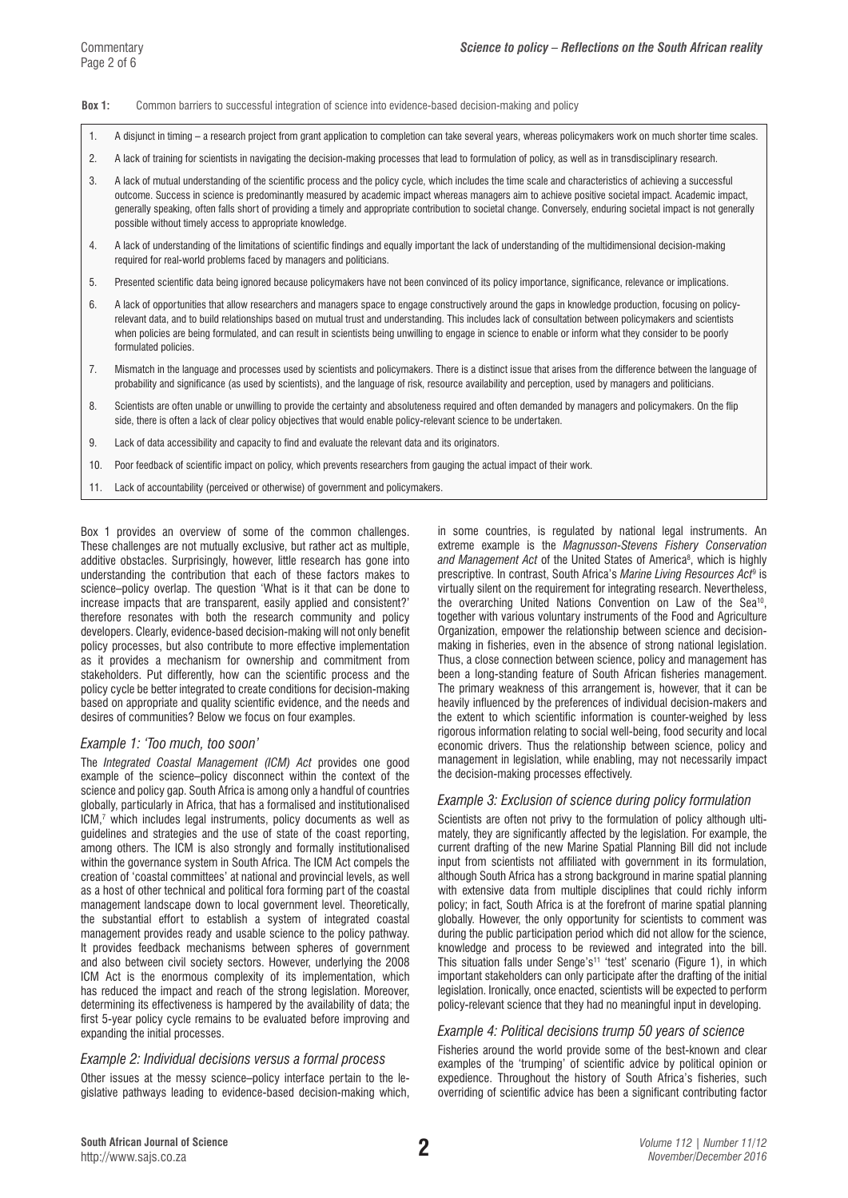**Box 1:** Common barriers to successful integration of science into evidence-based decision-making and policy

- 1. A disjunct in timing a research project from grant application to completion can take several years, whereas policymakers work on much shorter time scales.
- 2. A lack of training for scientists in navigating the decision-making processes that lead to formulation of policy, as well as in transdisciplinary research.
- 3. A lack of mutual understanding of the scientific process and the policy cycle, which includes the time scale and characteristics of achieving a successful outcome. Success in science is predominantly measured by academic impact whereas managers aim to achieve positive societal impact. Academic impact, generally speaking, often falls short of providing a timely and appropriate contribution to societal change. Conversely, enduring societal impact is not generally possible without timely access to appropriate knowledge.
- 4. A lack of understanding of the limitations of scientific findings and equally important the lack of understanding of the multidimensional decision-making required for real-world problems faced by managers and politicians.
- 5. Presented scientific data being ignored because policymakers have not been convinced of its policy importance, significance, relevance or implications.
- 6. A lack of opportunities that allow researchers and managers space to engage constructively around the gaps in knowledge production, focusing on policyrelevant data, and to build relationships based on mutual trust and understanding. This includes lack of consultation between policymakers and scientists when policies are being formulated, and can result in scientists being unwilling to engage in science to enable or inform what they consider to be poorly formulated policies.
- 7. Mismatch in the language and processes used by scientists and policymakers. There is a distinct issue that arises from the difference between the language of probability and significance (as used by scientists), and the language of risk, resource availability and perception, used by managers and politicians.
- 8. Scientists are often unable or unwilling to provide the certainty and absoluteness required and often demanded by managers and policymakers. On the flip side, there is often a lack of clear policy objectives that would enable policy-relevant science to be undertaken.
- 9. Lack of data accessibility and capacity to find and evaluate the relevant data and its originators.
- 10. Poor feedback of scientific impact on policy, which prevents researchers from gauging the actual impact of their work.
- 11. Lack of accountability (perceived or otherwise) of government and policymakers.

Box 1 provides an overview of some of the common challenges. These challenges are not mutually exclusive, but rather act as multiple, additive obstacles. Surprisingly, however, little research has gone into understanding the contribution that each of these factors makes to science–policy overlap. The question 'What is it that can be done to increase impacts that are transparent, easily applied and consistent?' therefore resonates with both the research community and policy developers. Clearly, evidence-based decision-making will not only benefit policy processes, but also contribute to more effective implementation as it provides a mechanism for ownership and commitment from stakeholders. Put differently, how can the scientific process and the policy cycle be better integrated to create conditions for decision-making based on appropriate and quality scientific evidence, and the needs and desires of communities? Below we focus on four examples.

#### *Example 1: 'Too much, too soon'*

The *Integrated Coastal Management (ICM) Act* provides one good example of the science–policy disconnect within the context of the science and policy gap. South Africa is among only a handful of countries globally, particularly in Africa, that has a formalised and institutionalised ICM,<sup>7</sup> which includes legal instruments, policy documents as well as guidelines and strategies and the use of state of the coast reporting, among others. The ICM is also strongly and formally institutionalised within the governance system in South Africa. The ICM Act compels the creation of 'coastal committees' at national and provincial levels, as well as a host of other technical and political fora forming part of the coastal management landscape down to local government level. Theoretically, the substantial effort to establish a system of integrated coastal management provides ready and usable science to the policy pathway. It provides feedback mechanisms between spheres of government and also between civil society sectors. However, underlying the 2008 ICM Act is the enormous complexity of its implementation, which has reduced the impact and reach of the strong legislation. Moreover, determining its effectiveness is hampered by the availability of data; the first 5-year policy cycle remains to be evaluated before improving and expanding the initial processes.

#### *Example 2: Individual decisions versus a formal process*

Other issues at the messy science–policy interface pertain to the legislative pathways leading to evidence-based decision-making which, in some countries, is regulated by national legal instruments. An extreme example is the *Magnusson-Stevens Fishery Conservation*  and Management Act of the United States of America<sup>8</sup>, which is highly prescriptive. In contrast, South Africa's *Marine Living Resources Act*<sup>9</sup> is virtually silent on the requirement for integrating research. Nevertheless, the overarching United Nations Convention on Law of the Sea<sup>10</sup>, together with various voluntary instruments of the Food and Agriculture Organization, empower the relationship between science and decisionmaking in fisheries, even in the absence of strong national legislation. Thus, a close connection between science, policy and management has been a long-standing feature of South African fisheries management. The primary weakness of this arrangement is, however, that it can be heavily influenced by the preferences of individual decision-makers and the extent to which scientific information is counter-weighed by less rigorous information relating to social well-being, food security and local economic drivers. Thus the relationship between science, policy and management in legislation, while enabling, may not necessarily impact the decision-making processes effectively.

#### *Example 3: Exclusion of science during policy formulation*

Scientists are often not privy to the formulation of policy although ultimately, they are significantly affected by the legislation. For example, the current drafting of the new Marine Spatial Planning Bill did not include input from scientists not affiliated with government in its formulation, although South Africa has a strong background in marine spatial planning with extensive data from multiple disciplines that could richly inform policy; in fact, South Africa is at the forefront of marine spatial planning globally. However, the only opportunity for scientists to comment was during the public participation period which did not allow for the science, knowledge and process to be reviewed and integrated into the bill. This situation falls under Senge's<sup>11</sup> 'test' scenario (Figure 1), in which important stakeholders can only participate after the drafting of the initial legislation. Ironically, once enacted, scientists will be expected to perform policy-relevant science that they had no meaningful input in developing.

#### *Example 4: Political decisions trump 50 years of science*

Fisheries around the world provide some of the best-known and clear examples of the 'trumping' of scientific advice by political opinion or expedience. Throughout the history of South Africa's fisheries, such overriding of scientific advice has been a significant contributing factor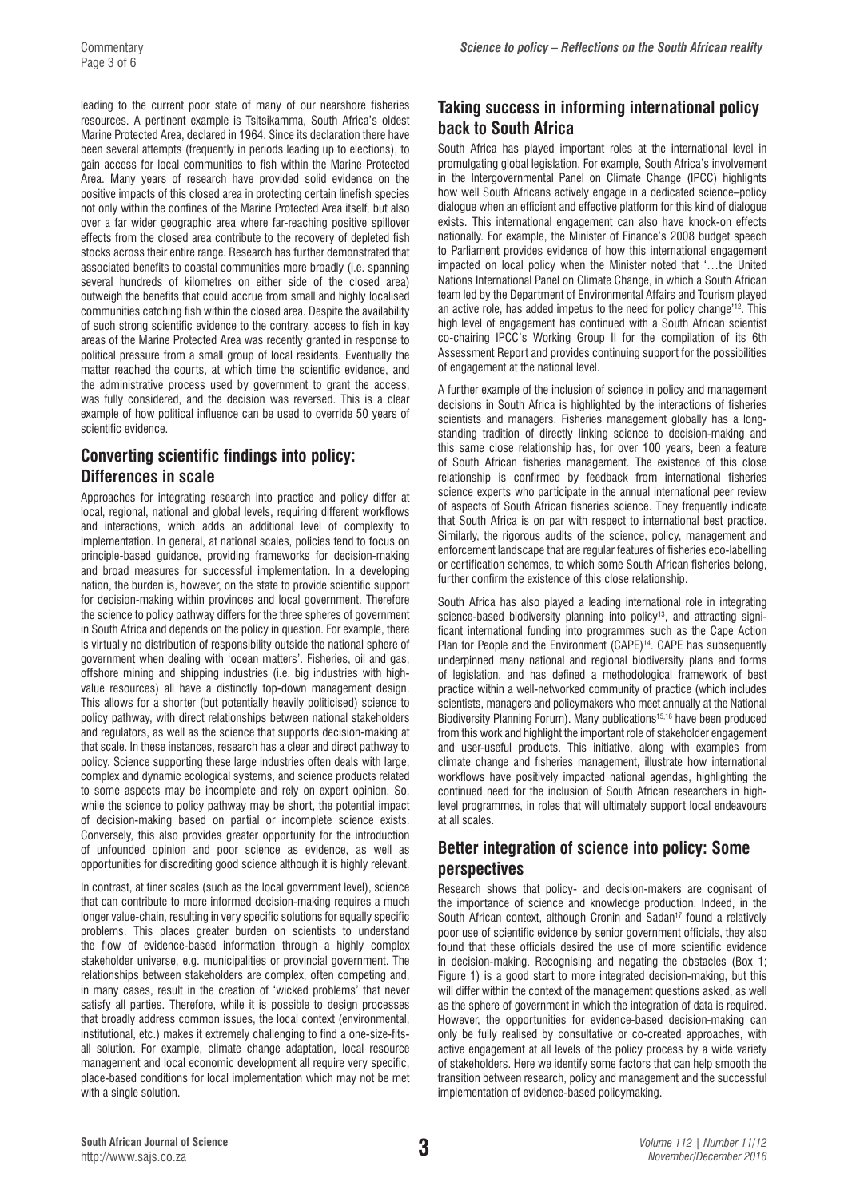leading to the current poor state of many of our nearshore fisheries resources. A pertinent example is Tsitsikamma, South Africa's oldest Marine Protected Area, declared in 1964. Since its declaration there have been several attempts (frequently in periods leading up to elections), to gain access for local communities to fish within the Marine Protected Area. Many years of research have provided solid evidence on the positive impacts of this closed area in protecting certain linefish species not only within the confines of the Marine Protected Area itself, but also over a far wider geographic area where far-reaching positive spillover effects from the closed area contribute to the recovery of depleted fish stocks across their entire range. Research has further demonstrated that associated benefits to coastal communities more broadly (i.e. spanning several hundreds of kilometres on either side of the closed area) outweigh the benefits that could accrue from small and highly localised communities catching fish within the closed area. Despite the availability of such strong scientific evidence to the contrary, access to fish in key areas of the Marine Protected Area was recently granted in response to political pressure from a small group of local residents. Eventually the matter reached the courts, at which time the scientific evidence, and the administrative process used by government to grant the access, was fully considered, and the decision was reversed. This is a clear example of how political influence can be used to override 50 years of scientific evidence.

# **Converting scientific findings into policy: Differences in scale**

Approaches for integrating research into practice and policy differ at local, regional, national and global levels, requiring different workflows and interactions, which adds an additional level of complexity to implementation. In general, at national scales, policies tend to focus on principle-based guidance, providing frameworks for decision-making and broad measures for successful implementation. In a developing nation, the burden is, however, on the state to provide scientific support for decision-making within provinces and local government. Therefore the science to policy pathway differs for the three spheres of government in South Africa and depends on the policy in question. For example, there is virtually no distribution of responsibility outside the national sphere of government when dealing with 'ocean matters'. Fisheries, oil and gas, offshore mining and shipping industries (i.e. big industries with highvalue resources) all have a distinctly top-down management design. This allows for a shorter (but potentially heavily politicised) science to policy pathway, with direct relationships between national stakeholders and regulators, as well as the science that supports decision-making at that scale. In these instances, research has a clear and direct pathway to policy. Science supporting these large industries often deals with large, complex and dynamic ecological systems, and science products related to some aspects may be incomplete and rely on expert opinion. So, while the science to policy pathway may be short, the potential impact of decision-making based on partial or incomplete science exists. Conversely, this also provides greater opportunity for the introduction of unfounded opinion and poor science as evidence, as well as opportunities for discrediting good science although it is highly relevant.

In contrast, at finer scales (such as the local government level), science that can contribute to more informed decision-making requires a much longer value-chain, resulting in very specific solutions for equally specific problems. This places greater burden on scientists to understand the flow of evidence-based information through a highly complex stakeholder universe, e.g. municipalities or provincial government. The relationships between stakeholders are complex, often competing and, in many cases, result in the creation of 'wicked problems' that never satisfy all parties. Therefore, while it is possible to design processes that broadly address common issues, the local context (environmental, institutional, etc.) makes it extremely challenging to find a one-size-fitsall solution. For example, climate change adaptation, local resource management and local economic development all require very specific, place-based conditions for local implementation which may not be met with a single solution.

# **Taking success in informing international policy back to South Africa**

South Africa has played important roles at the international level in promulgating global legislation. For example, South Africa's involvement in the Intergovernmental Panel on Climate Change (IPCC) highlights how well South Africans actively engage in a dedicated science–policy dialogue when an efficient and effective platform for this kind of dialogue exists. This international engagement can also have knock-on effects nationally. For example, the Minister of Finance's 2008 budget speech to Parliament provides evidence of how this international engagement impacted on local policy when the Minister noted that '…the United Nations International Panel on Climate Change, in which a South African team led by the Department of Environmental Affairs and Tourism played an active role, has added impetus to the need for policy change'12. This high level of engagement has continued with a South African scientist co-chairing IPCC's Working Group II for the compilation of its 6th Assessment Report and provides continuing support for the possibilities of engagement at the national level.

A further example of the inclusion of science in policy and management decisions in South Africa is highlighted by the interactions of fisheries scientists and managers. Fisheries management globally has a longstanding tradition of directly linking science to decision-making and this same close relationship has, for over 100 years, been a feature of South African fisheries management. The existence of this close relationship is confirmed by feedback from international fisheries science experts who participate in the annual international peer review of aspects of South African fisheries science. They frequently indicate that South Africa is on par with respect to international best practice. Similarly, the rigorous audits of the science, policy, management and enforcement landscape that are regular features of fisheries eco-labelling or certification schemes, to which some South African fisheries belong, further confirm the existence of this close relationship.

South Africa has also played a leading international role in integrating science-based biodiversity planning into policy<sup>13</sup>, and attracting significant international funding into programmes such as the Cape Action Plan for People and the Environment (CAPE)<sup>14</sup>. CAPE has subsequently underpinned many national and regional biodiversity plans and forms of legislation, and has defined a methodological framework of best practice within a well-networked community of practice (which includes scientists, managers and policymakers who meet annually at the National Biodiversity Planning Forum). Many publications<sup>15,16</sup> have been produced from this work and highlight the important role of stakeholder engagement and user-useful products. This initiative, along with examples from climate change and fisheries management, illustrate how international workflows have positively impacted national agendas, highlighting the continued need for the inclusion of South African researchers in highlevel programmes, in roles that will ultimately support local endeavours at all scales.

# **Better integration of science into policy: Some perspectives**

Research shows that policy- and decision-makers are cognisant of the importance of science and knowledge production. Indeed, in the South African context, although Cronin and Sadan<sup>17</sup> found a relatively poor use of scientific evidence by senior government officials, they also found that these officials desired the use of more scientific evidence in decision-making. Recognising and negating the obstacles (Box 1; Figure 1) is a good start to more integrated decision-making, but this will differ within the context of the management questions asked, as well as the sphere of government in which the integration of data is required. However, the opportunities for evidence-based decision-making can only be fully realised by consultative or co-created approaches, with active engagement at all levels of the policy process by a wide variety of stakeholders. Here we identify some factors that can help smooth the transition between research, policy and management and the successful implementation of evidence-based policymaking.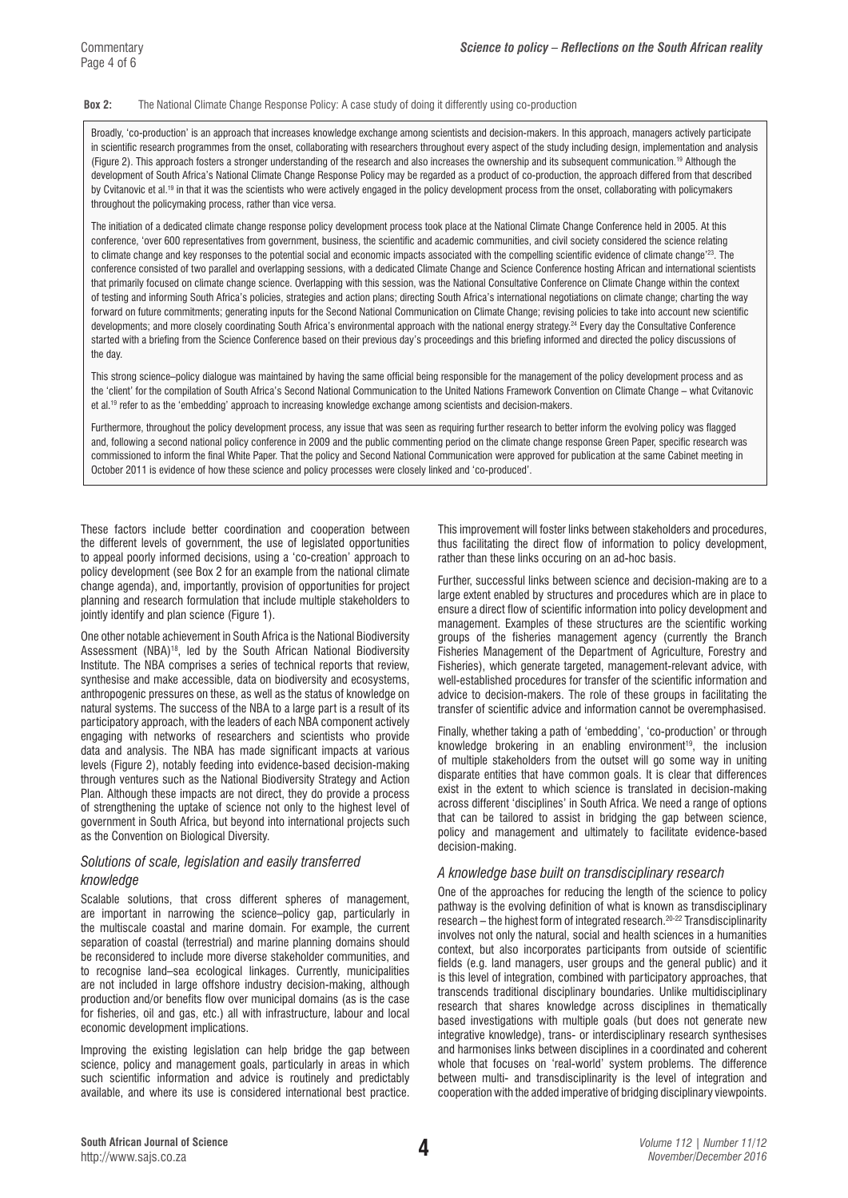#### **Box 2:** The National Climate Change Response Policy: A case study of doing it differently using co-production

Broadly, 'co-production' is an approach that increases knowledge exchange among scientists and decision-makers. In this approach, managers actively participate in scientific research programmes from the onset, collaborating with researchers throughout every aspect of the study including design, implementation and analysis (Figure 2). This approach fosters a stronger understanding of the research and also increases the ownership and its subsequent communication.19 Although the development of South Africa's National Climate Change Response Policy may be regarded as a product of co-production, the approach differed from that described by Cvitanovic et al.19 in that it was the scientists who were actively engaged in the policy development process from the onset, collaborating with policymakers throughout the policymaking process, rather than vice versa.

The initiation of a dedicated climate change response policy development process took place at the National Climate Change Conference held in 2005. At this conference, 'over 600 representatives from government, business, the scientific and academic communities, and civil society considered the science relating to climate change and key responses to the potential social and economic impacts associated with the compelling scientific evidence of climate change'23. The conference consisted of two parallel and overlapping sessions, with a dedicated Climate Change and Science Conference hosting African and international scientists that primarily focused on climate change science. Overlapping with this session, was the National Consultative Conference on Climate Change within the context of testing and informing South Africa's policies, strategies and action plans; directing South Africa's international negotiations on climate change; charting the way forward on future commitments; generating inputs for the Second National Communication on Climate Change; revising policies to take into account new scientific developments; and more closely coordinating South Africa's environmental approach with the national energy strategy.<sup>24</sup> Every day the Consultative Conference started with a briefing from the Science Conference based on their previous day's proceedings and this briefing informed and directed the policy discussions of the day.

This strong science–policy dialogue was maintained by having the same official being responsible for the management of the policy development process and as the 'client' for the compilation of South Africa's Second National Communication to the United Nations Framework Convention on Climate Change – what Cvitanovic et al.19 refer to as the 'embedding' approach to increasing knowledge exchange among scientists and decision-makers.

Furthermore, throughout the policy development process, any issue that was seen as requiring further research to better inform the evolving policy was flagged and, following a second national policy conference in 2009 and the public commenting period on the climate change response Green Paper, specific research was commissioned to inform the final White Paper. That the policy and Second National Communication were approved for publication at the same Cabinet meeting in October 2011 is evidence of how these science and policy processes were closely linked and 'co-produced'.

These factors include better coordination and cooperation between the different levels of government, the use of legislated opportunities to appeal poorly informed decisions, using a 'co-creation' approach to policy development (see Box 2 for an example from the national climate change agenda), and, importantly, provision of opportunities for project planning and research formulation that include multiple stakeholders to jointly identify and plan science (Figure 1).

One other notable achievement in South Africa is the National Biodiversity Assessment (NBA)<sup>18</sup>, led by the South African National Biodiversity Institute. The NBA comprises a series of technical reports that review, synthesise and make accessible, data on biodiversity and ecosystems, anthropogenic pressures on these, as well as the status of knowledge on natural systems. The success of the NBA to a large part is a result of its participatory approach, with the leaders of each NBA component actively engaging with networks of researchers and scientists who provide data and analysis. The NBA has made significant impacts at various levels (Figure 2), notably feeding into evidence-based decision-making through ventures such as the National Biodiversity Strategy and Action Plan. Although these impacts are not direct, they do provide a process of strengthening the uptake of science not only to the highest level of government in South Africa, but beyond into international projects such as the Convention on Biological Diversity.

### *Solutions of scale, legislation and easily transferred knowledge*

Scalable solutions, that cross different spheres of management, are important in narrowing the science–policy gap, particularly in the multiscale coastal and marine domain. For example, the current separation of coastal (terrestrial) and marine planning domains should be reconsidered to include more diverse stakeholder communities, and to recognise land–sea ecological linkages. Currently, municipalities are not included in large offshore industry decision-making, although production and/or benefits flow over municipal domains (as is the case for fisheries, oil and gas, etc.) all with infrastructure, labour and local economic development implications.

Improving the existing legislation can help bridge the gap between science, policy and management goals, particularly in areas in which such scientific information and advice is routinely and predictably available, and where its use is considered international best practice.

This improvement will foster links between stakeholders and procedures, thus facilitating the direct flow of information to policy development, rather than these links occuring on an ad-hoc basis.

Further, successful links between science and decision-making are to a large extent enabled by structures and procedures which are in place to ensure a direct flow of scientific information into policy development and management. Examples of these structures are the scientific working groups of the fisheries management agency (currently the Branch Fisheries Management of the Department of Agriculture, Forestry and Fisheries), which generate targeted, management-relevant advice, with well-established procedures for transfer of the scientific information and advice to decision-makers. The role of these groups in facilitating the transfer of scientific advice and information cannot be overemphasised.

Finally, whether taking a path of 'embedding', 'co-production' or through knowledge brokering in an enabling environment<sup>19</sup>, the inclusion of multiple stakeholders from the outset will go some way in uniting disparate entities that have common goals. It is clear that differences exist in the extent to which science is translated in decision-making across different 'disciplines' in South Africa. We need a range of options that can be tailored to assist in bridging the gap between science, policy and management and ultimately to facilitate evidence-based decision-making.

#### *A knowledge base built on transdisciplinary research*

One of the approaches for reducing the length of the science to policy pathway is the evolving definition of what is known as transdisciplinary research – the highest form of integrated research.20-22 Transdisciplinarity involves not only the natural, social and health sciences in a humanities context, but also incorporates participants from outside of scientific fields (e.g. land managers, user groups and the general public) and it is this level of integration, combined with participatory approaches, that transcends traditional disciplinary boundaries. Unlike multidisciplinary research that shares knowledge across disciplines in thematically based investigations with multiple goals (but does not generate new integrative knowledge), trans- or interdisciplinary research synthesises and harmonises links between disciplines in a coordinated and coherent whole that focuses on 'real-world' system problems. The difference between multi- and transdisciplinarity is the level of integration and cooperation with the added imperative of bridging disciplinary viewpoints.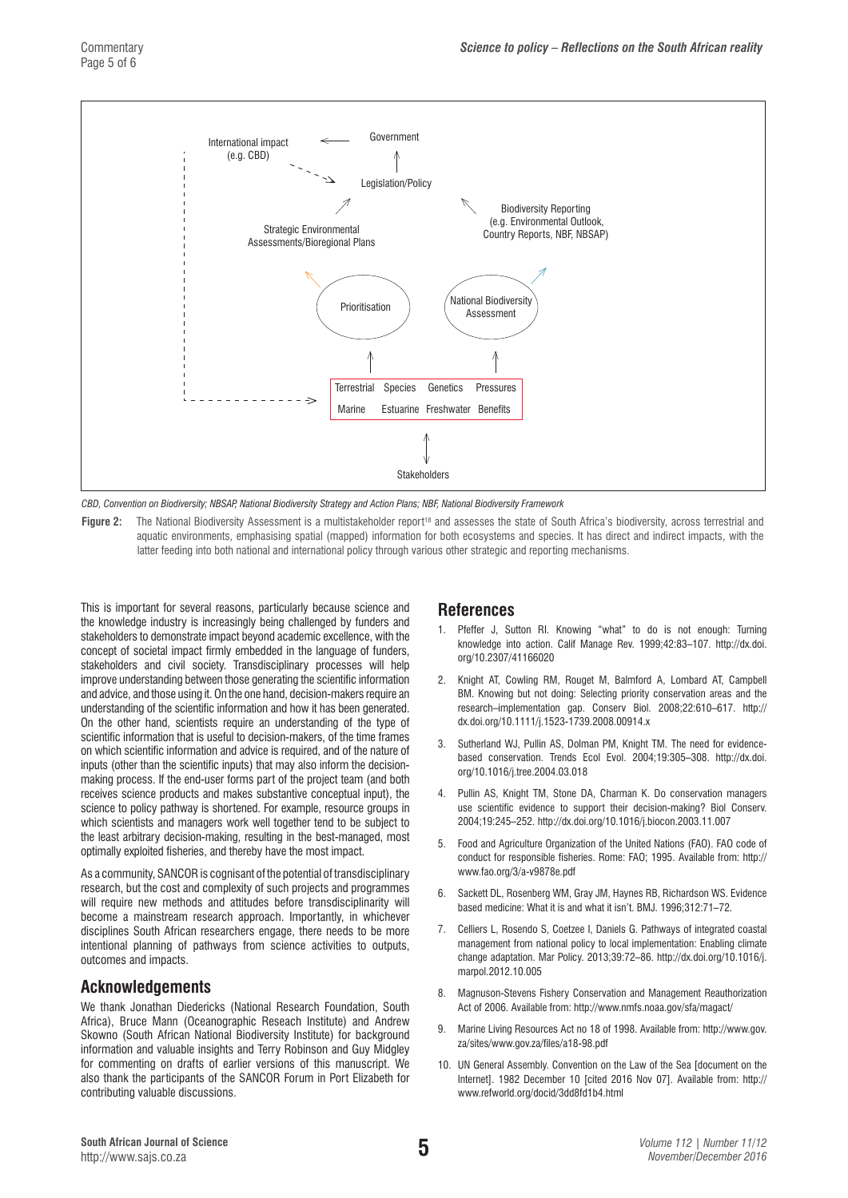

*CBD, Convention on Biodiversity; NBSAP, National Biodiversity Strategy and Action Plans; NBF, National Biodiversity Framework*

Figure 2: The National Biodiversity Assessment is a multistakeholder report<sup>18</sup> and assesses the state of South Africa's biodiversity, across terrestrial and aquatic environments, emphasising spatial (mapped) information for both ecosystems and species. It has direct and indirect impacts, with the latter feeding into both national and international policy through various other strategic and reporting mechanisms.

This is important for several reasons, particularly because science and the knowledge industry is increasingly being challenged by funders and stakeholders to demonstrate impact beyond academic excellence, with the concept of societal impact firmly embedded in the language of funders, stakeholders and civil society. Transdisciplinary processes will help improve understanding between those generating the scientific information and advice, and those using it. On the one hand, decision-makers require an understanding of the scientific information and how it has been generated. On the other hand, scientists require an understanding of the type of scientific information that is useful to decision-makers, of the time frames on which scientific information and advice is required, and of the nature of inputs (other than the scientific inputs) that may also inform the decisionmaking process. If the end-user forms part of the project team (and both receives science products and makes substantive conceptual input), the science to policy pathway is shortened. For example, resource groups in which scientists and managers work well together tend to be subject to the least arbitrary decision-making, resulting in the best-managed, most optimally exploited fisheries, and thereby have the most impact.

As a community, SANCOR is cognisant of the potential of transdisciplinary research, but the cost and complexity of such projects and programmes will require new methods and attitudes before transdisciplinarity will become a mainstream research approach. Importantly, in whichever disciplines South African researchers engage, there needs to be more intentional planning of pathways from science activities to outputs, outcomes and impacts.

# **Acknowledgements**

We thank Jonathan Diedericks (National Research Foundation, South Africa), Bruce Mann (Oceanographic Reseach Institute) and Andrew Skowno (South African National Biodiversity Institute) for background information and valuable insights and Terry Robinson and Guy Midgley for commenting on drafts of earlier versions of this manuscript. We also thank the participants of the SANCOR Forum in Port Elizabeth for contributing valuable discussions.

# **References**

- 1. Pfeffer J, Sutton RI. Knowing "what" to do is not enough: Turning knowledge into action. Calif Manage Rev. 1999;42:83–107. [http://dx.doi.](http://dx.doi.org/10.2307/41166020) [org/10.2307/41166020](http://dx.doi.org/10.2307/41166020)
- 2. Knight AT, Cowling RM, Rouget M, Balmford A, Lombard AT, Campbell BM. Knowing but not doing: Selecting priority conservation areas and the research–implementation gap. Conserv Biol. 2008;22:610–617. [http://](http://dx.doi.org/10.1111/j.1523-1739.2008.00914.x ) [dx.doi.org/10.1111/j.1523-1739.2008.00914.x](http://dx.doi.org/10.1111/j.1523-1739.2008.00914.x )
- 3. Sutherland WJ, Pullin AS, Dolman PM, Knight TM. The need for evidencebased conservation. Trends Ecol Evol. 2004;19:305–308. [http://dx.doi.](http://dx.doi.org/10.1016/j.tree.2004.03.018) [org/10.1016/j.tree.2004.03.018](http://dx.doi.org/10.1016/j.tree.2004.03.018)
- 4. Pullin AS, Knight TM, Stone DA, Charman K. Do conservation managers use scientific evidence to support their decision-making? Biol Conserv. 2004;19:245–252. <http://dx.doi.org/10.1016/j.biocon.2003.11.007>
- 5. Food and Agriculture Organization of the United Nations (FAO). FAO code of conduct for responsible fisheries. Rome: FAO; 1995. Available from: [http://](http://www.fao.org/3/a-v9878e.pdf) [www.fao.org/3/a-v9878e.pdf](http://www.fao.org/3/a-v9878e.pdf)
- 6. Sackett DL, Rosenberg WM, Gray JM, Haynes RB, Richardson WS. Evidence based medicine: What it is and what it isn't. BMJ. 1996;312:71–72.
- 7. Celliers L, Rosendo S, Coetzee I, Daniels G. Pathways of integrated coastal management from national policy to local implementation: Enabling climate change adaptation. Mar Policy. 2013;39:72–86. [http://dx.doi.org/10.1016/j.](http://dx.doi.org/10.1016/j.marpol.2012.10.005) [marpol.2012.10.005](http://dx.doi.org/10.1016/j.marpol.2012.10.005)
- 8. Magnuson-Stevens Fishery Conservation and Management Reauthorization Act of 2006. Available from: [http://www.nmfs.noaa.gov/sfa/magact/](http://www.nmfs.noaa.gov/sfa/magact)
- 9. Marine Living Resources Act no 18 of 1998. Available from: [http://www.gov.](http://www.gov.za/sites/www.gov.za/files/a18-98.pdf) [za/sites/www.gov.za/files/a18-98.pdf](http://www.gov.za/sites/www.gov.za/files/a18-98.pdf)
- 10. UN General Assembly. Convention on the Law of the Sea [document on the Internet]. 1982 December 10 [cited 2016 Nov 07]. Available from: [http://](http://www.refworld.org/docid/3dd8fd1b4.html) [www.refworld.org/docid/3dd8fd1b4.html](http://www.refworld.org/docid/3dd8fd1b4.html)